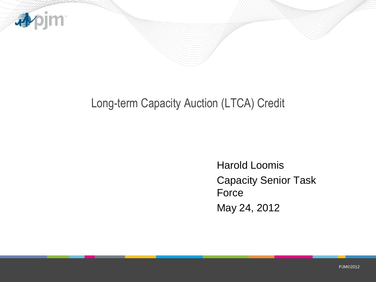

## Long-term Capacity Auction (LTCA) Credit

Harold Loomis Capacity Senior Task **Force** May 24, 2012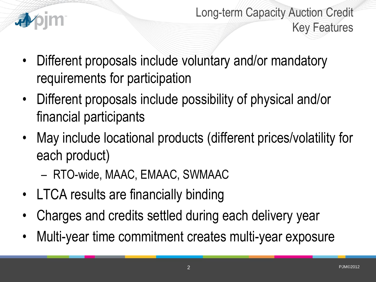

Long-term Capacity Auction Credit Key Features

- Different proposals include voluntary and/or mandatory requirements for participation
- Different proposals include possibility of physical and/or financial participants
- May include locational products (different prices/volatility for each product)
	- RTO-wide, MAAC, EMAAC, SWMAAC
- LTCA results are financially binding
- Charges and credits settled during each delivery year
- Multi-year time commitment creates multi-year exposure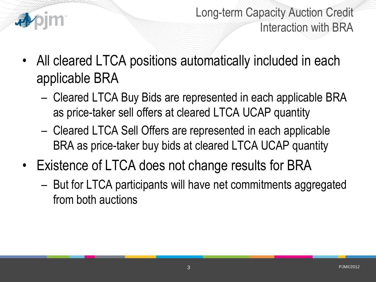

Long-term Capacity Auction Credit Interaction with BRA

- All cleared LTCA positions automatically included in each applicable BRA
	- Cleared LTCA Buy Bids are represented in each applicable BRA as price-taker sell offers at cleared LTCA UCAP quantity
	- Cleared LTCA Sell Offers are represented in each applicable BRA as price-taker buy bids at cleared LTCA UCAP quantity
- Existence of LTCA does not change results for BRA
	- But for LTCA participants will have net commitments aggregated from both auctions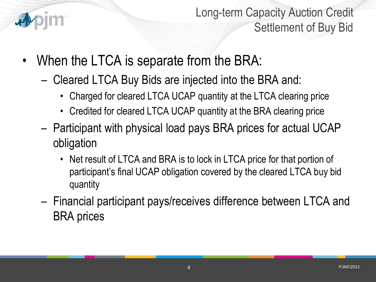

Long-term Capacity Auction Credit Settlement of Buy Bid

- When the LTCA is separate from the BRA:
	- Cleared LTCA Buy Bids are injected into the BRA and:
		- Charged for cleared LTCA UCAP quantity at the LTCA clearing price
		- Credited for cleared LTCA UCAP quantity at the BRA clearing price
	- Participant with physical load pays BRA prices for actual UCAP obligation
		- Net result of LTCA and BRA is to lock in LTCA price for that portion of participant's final UCAP obligation covered by the cleared LTCA buy bid quantity
	- Financial participant pays/receives difference between LTCA and BRA prices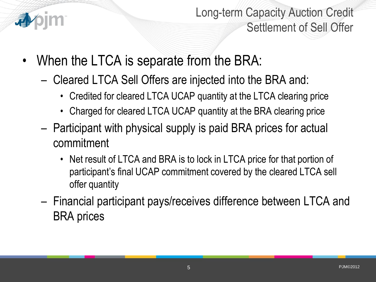

Long-term Capacity Auction Credit Settlement of Sell Offer

- When the LTCA is separate from the BRA:
	- Cleared LTCA Sell Offers are injected into the BRA and:
		- Credited for cleared LTCA UCAP quantity at the LTCA clearing price
		- Charged for cleared LTCA UCAP quantity at the BRA clearing price
	- Participant with physical supply is paid BRA prices for actual commitment
		- Net result of LTCA and BRA is to lock in LTCA price for that portion of participant's final UCAP commitment covered by the cleared LTCA sell offer quantity
	- Financial participant pays/receives difference between LTCA and BRA prices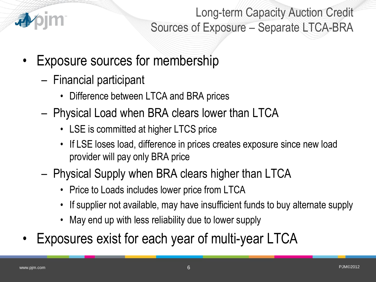

Long-term Capacity Auction Credit Sources of Exposure – Separate LTCA-BRA

- Exposure sources for membership
	- Financial participant
		- Difference between LTCA and BRA prices
	- Physical Load when BRA clears lower than LTCA
		- LSE is committed at higher LTCS price
		- If LSE loses load, difference in prices creates exposure since new load provider will pay only BRA price
	- Physical Supply when BRA clears higher than LTCA
		- Price to Loads includes lower price from LTCA
		- If supplier not available, may have insufficient funds to buy alternate supply
		- May end up with less reliability due to lower supply
- Exposures exist for each year of multi-year LTCA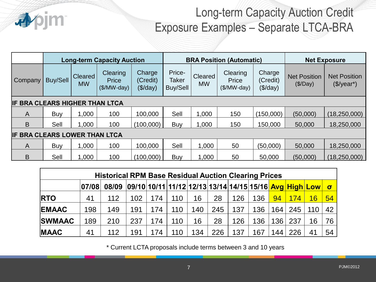

## Long-term Capacity Auction Credit Exposure Examples – Separate LTCA-BRA

|                                |                 |                      | <b>Long-term Capacity Auction</b>        |                                         | <b>BRA Position (Automatic)</b>    |                      |                                   |                                  | <b>Net Exposure</b>             |                                                   |  |
|--------------------------------|-----------------|----------------------|------------------------------------------|-----------------------------------------|------------------------------------|----------------------|-----------------------------------|----------------------------------|---------------------------------|---------------------------------------------------|--|
| Company                        | <b>Buy/Sell</b> | Cleared<br><b>MW</b> | <b>Clearing</b><br>Price<br>$($/MW-day)$ | Charge<br>(Credit)<br>$(\sqrt[6]{day})$ | Price-<br><b>Taker</b><br>Buy/Sell | Cleared<br><b>MW</b> | Clearing<br>Price<br>$($/MW-day)$ | Charge<br>(Credit)<br>$(\$/day)$ | <b>Net Position</b><br>(\$/Day) | <b>Net Position</b><br>$(\$$ /year <sup>*</sup> ) |  |
| IF BRA CLEARS HIGHER THAN LTCA |                 |                      |                                          |                                         |                                    |                      |                                   |                                  |                                 |                                                   |  |
| A                              | Buy             | 1,000                | 100                                      | 100,000                                 | Sell                               | 1,000                | 150                               | (150,000)                        | (50,000)                        | (18, 250, 000)                                    |  |
| B                              | Sell            | 1,000                | 100                                      | (100,000)                               | Buy                                | 1,000                | 150                               | 150,000                          | 50,000                          | 18,250,000                                        |  |
| IF BRA CLEARS LOWER THAN LTCA  |                 |                      |                                          |                                         |                                    |                      |                                   |                                  |                                 |                                                   |  |
| A                              | Buy             | 1,000                | 100                                      | 100,000                                 | Sell                               | 1,000                | 50                                | (50,000)                         | 50,000                          | 18,250,000                                        |  |
| B                              | Sell            | 1,000                | 100                                      | (100,000)                               | Buy                                | 1,000                | 50                                | 50,000                           | (50,000)                        | (18, 250, 000)                                    |  |

| <b>Historical RPM Base Residual Auction Clearing Prices</b> |       |       |                                                        |     |     |     |     |     |     |                  |     |     |                  |
|-------------------------------------------------------------|-------|-------|--------------------------------------------------------|-----|-----|-----|-----|-----|-----|------------------|-----|-----|------------------|
|                                                             | 07/08 | 08/09 | 09/10 10/11 11/12 12/13 13/14 14/15 15/16 Avg High Low |     |     |     |     |     |     |                  |     |     | $\mathbf \sigma$ |
| <b>RTO</b>                                                  | 41    | 112   | 102                                                    | 174 | 110 | 16  | 28  | 126 | 136 | 94               | 174 | 16  | 54               |
| <b>EMAAC</b>                                                | 198   | 149   | 191                                                    | 174 | 110 | 140 | 245 | 137 | 136 | 164 <sub>1</sub> | 245 | 110 | 42               |
| <b>SWMAAC</b>                                               | 189   | 210   | 237                                                    | 174 | 110 | 16  | 28  | 126 | 136 | 136              | 237 | 16  | 76               |
| <b>MAAC</b>                                                 | 41    | 112   | 191                                                    | 174 | 110 | 134 | 226 | 137 | 167 | 144 <sub>1</sub> | 226 | 41  | 54               |

\* Current LCTA proposals include terms between 3 and 10 years